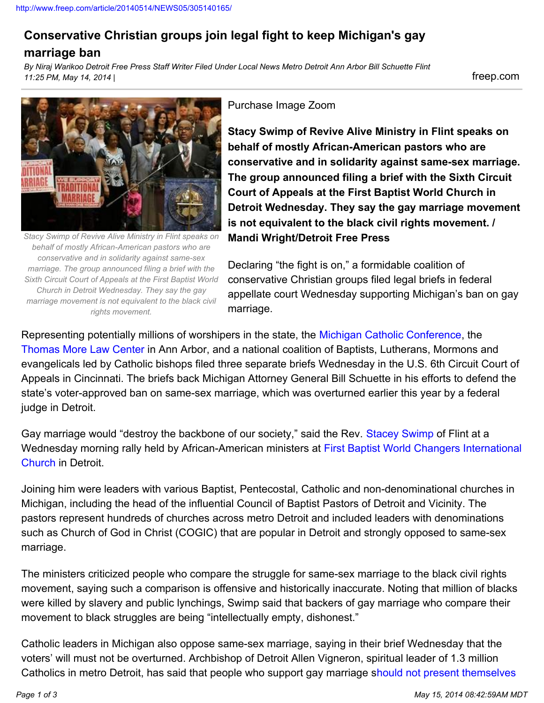## **Conservative Christian groups join legal fight to keep Michigan's gay**

## **marriage ban**

*By Niraj Warikoo Detroit Free Press Staff Writer Filed Under Local News Metro Detroit Ann Arbor Bill Schuette Flint 11:25 PM, May 14, 2014 |* freep.com



*Stacy Swimp of Revive Alive Ministry in Flint speaks on behalf of mostly African-American pastors who are conservative and in solidarity against same-sex marriage. The group announced filing a brief with the Sixth Circuit Court of Appeals at the First Baptist World Church in Detroit Wednesday. They say the gay marriage movement is not equivalent to the black civil rights movement.*

## Purchase Image Zoom

**Stacy Swimp of Revive Alive Ministry in Flint speaks on behalf of mostly African-American pastors who are conservative and in solidarity against same-sex marriage. The group announced filing a brief with the Sixth Circuit Court of Appeals at the First Baptist World Church in Detroit Wednesday. They say the gay marriage movement is not equivalent to the black civil rights movement. / Mandi Wright/Detroit Free Press**

Declaring "the fight is on," a formidable coalition of conservative Christian groups filed legal briefs in federal appellate court Wednesday supporting Michigan's ban on gay marriage.

Representing potentially millions of worshipers in the state, the [Michigan Catholic Conference,](http://www.micatholic.org/) the [Thomas More Law Center](http://www.thomasmore.org/) in Ann Arbor, and a national coalition of Baptists, Lutherans, Mormons and evangelicals led by Catholic bishops filed three separate briefs Wednesday in the U.S. 6th Circuit Court of Appeals in Cincinnati. The briefs back Michigan Attorney General Bill Schuette in his efforts to defend the state's voter-approved ban on same-sex marriage, which was overturned earlier this year by a federal judge in Detroit.

Gay marriage would "destroy the backbone of our society," said the Rev. [Stacey Swimp](http://stacyswimp.net/) of Flint at a Wednesday morning rally held by African-American ministers at [First Baptist World Changers International](http://firstbaptistworldchangers.com/) [Church](http://firstbaptistworldchangers.com/) in Detroit.

Joining him were leaders with various Baptist, Pentecostal, Catholic and non-denominational churches in Michigan, including the head of the influential Council of Baptist Pastors of Detroit and Vicinity. The pastors represent hundreds of churches across metro Detroit and included leaders with denominations such as Church of God in Christ (COGIC) that are popular in Detroit and strongly opposed to same-sex marriage.

The ministers criticized people who compare the struggle for same-sex marriage to the black civil rights movement, saying such a comparison is offensive and historically inaccurate. Noting that million of blacks were killed by slavery and public lynchings, Swimp said that backers of gay marriage who compare their movement to black struggles are being "intellectually empty, dishonest."

Catholic leaders in Michigan also oppose same-sex marriage, saying in their brief Wednesday that the voters' will must not be overturned. Archbishop of Detroit Allen Vigneron, spiritual leader of 1.3 million Catholics in metro Detroit, has said that people who support gay marriage s[hould not present themselves](http://www.freep.com/article/20130408/NEWS05/304080041/Detroit-area-Catholic-leaders-urge-gay-marriage-supporters-to-skip-Communion)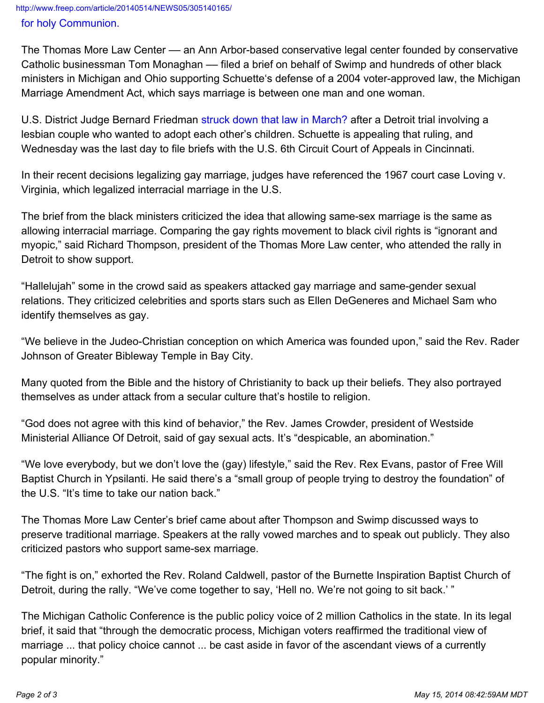<http://www.freep.com/article/20140514/NEWS05/305140165/> [for holy Communion.](http://www.freep.com/article/20130408/NEWS05/304080041/Detroit-area-Catholic-leaders-urge-gay-marriage-supporters-to-skip-Communion)

The Thomas More Law Center –– an Ann Arbor-based conservative legal center founded by conservative Catholic businessman Tom Monaghan — filed a brief on behalf of Swimp and hundreds of other black ministers in Michigan and Ohio supporting Schuette's defense of a 2004 voter-approved law, the Michigan Marriage Amendment Act, which says marriage is between one man and one woman.

U.S. District Judge Bernard Friedman [struck down that law in March?](http://www.freep.com/article/20140321/NEWS06/303210121/Michigan-gay-marriage-ruling) after a Detroit trial involving a lesbian couple who wanted to adopt each other's children. Schuette is appealing that ruling, and Wednesday was the last day to file briefs with the U.S. 6th Circuit Court of Appeals in Cincinnati.

In their recent decisions legalizing gay marriage, judges have referenced the 1967 court case Loving v. Virginia, which legalized interracial marriage in the U.S.

The brief from the black ministers criticized the idea that allowing same-sex marriage is the same as allowing interracial marriage. Comparing the gay rights movement to black civil rights is "ignorant and myopic," said Richard Thompson, president of the Thomas More Law center, who attended the rally in Detroit to show support.

"Hallelujah" some in the crowd said as speakers attacked gay marriage and same-gender sexual relations. They criticized celebrities and sports stars such as Ellen DeGeneres and Michael Sam who identify themselves as gay.

"We believe in the Judeo-Christian conception on which America was founded upon," said the Rev. Rader Johnson of Greater Bibleway Temple in Bay City.

Many quoted from the Bible and the history of Christianity to back up their beliefs. They also portrayed themselves as under attack from a secular culture that's hostile to religion.

"God does not agree with this kind of behavior," the Rev. James Crowder, president of Westside Ministerial Alliance Of Detroit, said of gay sexual acts. It's "despicable, an abomination."

"We love everybody, but we don't love the (gay) lifestyle," said the Rev. Rex Evans, pastor of Free Will Baptist Church in Ypsilanti. He said there's a "small group of people trying to destroy the foundation" of the U.S. "It's time to take our nation back."

The Thomas More Law Center's brief came about after Thompson and Swimp discussed ways to preserve traditional marriage. Speakers at the rally vowed marches and to speak out publicly. They also criticized pastors who support same-sex marriage.

"The fight is on," exhorted the Rev. Roland Caldwell, pastor of the Burnette Inspiration Baptist Church of Detroit, during the rally. "We've come together to say, 'Hell no. We're not going to sit back.' "

The Michigan Catholic Conference is the public policy voice of 2 million Catholics in the state. In its legal brief, it said that "through the democratic process, Michigan voters reaffirmed the traditional view of marriage ... that policy choice cannot ... be cast aside in favor of the ascendant views of a currently popular minority."